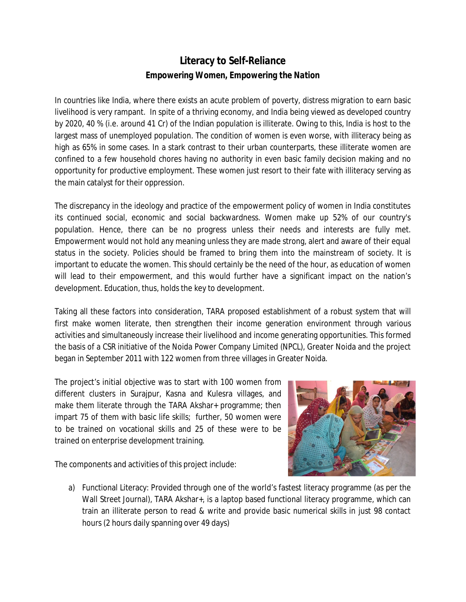## **Literacy to Self-Reliance** *Empowering Women, Empowering the Nation*

In countries like India, where there exists an acute problem of poverty, distress migration to earn basic livelihood is very rampant. In spite of a thriving economy, and India being viewed as developed country by 2020, 40 % (i.e. around 41 Cr) of the Indian population is illiterate. Owing to this, India is host to the largest mass of unemployed population. The condition of women is even worse, with illiteracy being as high as 65% in some cases. In a stark contrast to their urban counterparts, these illiterate women are confined to a few household chores having no authority in even basic family decision making and no opportunity for productive employment. These women just resort to their fate with illiteracy serving as the main catalyst for their oppression.

The discrepancy in the ideology and practice of the empowerment policy of women in India constitutes its continued social, economic and social backwardness. Women make up 52% of our country's population. Hence, there can be no progress unless their needs and interests are fully met. Empowerment would not hold any meaning unless they are made strong, alert and aware of their equal status in the society. Policies should be framed to bring them into the mainstream of society. It is important to educate the women. This should certainly be the need of the hour, as education of women will lead to their empowerment, and this would further have a significant impact on the nation's development. Education, thus, holds the key to development.

Taking all these factors into consideration, TARA proposed establishment of a robust system that will first make women literate, then strengthen their income generation environment through various activities and simultaneously increase their livelihood and income generating opportunities. This formed the basis of a CSR initiative of the Noida Power Company Limited (NPCL), Greater Noida and the project began in September 2011 with 122 women from three villages in Greater Noida.

The project's initial objective was to start with 100 women from different clusters in Surajpur, Kasna and Kulesra villages, and make them literate through the TARA Akshar+ programme; then impart 75 of them with basic life skills; further, 50 women were to be trained on vocational skills and 25 of these were to be trained on enterprise development training.

The components and activities of this project include:



a) Functional Literacy: Provided through one of the world's fastest literacy programme (as per the Wall Street Journal), TARA Akshar+, is a laptop based functional literacy programme, which can train an illiterate person to read & write and provide basic numerical skills in just 98 contact hours (2 hours daily spanning over 49 days)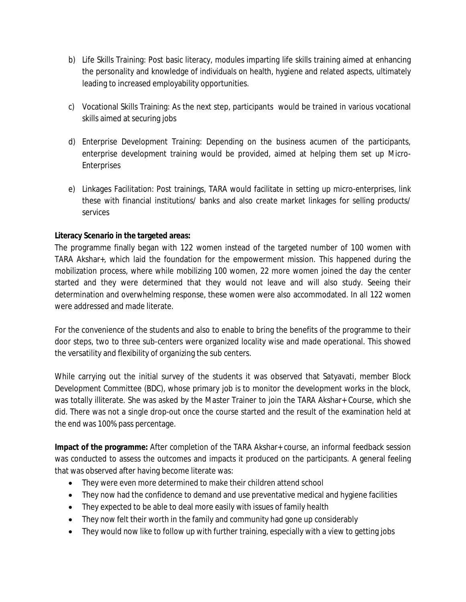- b) Life Skills Training: Post basic literacy, modules imparting life skills training aimed at enhancing the personality and knowledge of individuals on health, hygiene and related aspects, ultimately leading to increased employability opportunities.
- c) Vocational Skills Training: As the next step, participants would be trained in various vocational skills aimed at securing jobs
- d) Enterprise Development Training: Depending on the business acumen of the participants, enterprise development training would be provided, aimed at helping them set up Micro-Enterprises
- e) Linkages Facilitation: Post trainings, TARA would facilitate in setting up micro-enterprises, link these with financial institutions/ banks and also create market linkages for selling products/ services

## **Literacy Scenario in the targeted areas:**

The programme finally began with 122 women instead of the targeted number of 100 women with TARA Akshar+, which laid the foundation for the empowerment mission. This happened during the mobilization process, where while mobilizing 100 women, 22 more women joined the day the center started and they were determined that they would not leave and will also study. Seeing their determination and overwhelming response, these women were also accommodated. In all 122 women were addressed and made literate.

For the convenience of the students and also to enable to bring the benefits of the programme to their door steps, two to three sub-centers were organized locality wise and made operational. This showed the versatility and flexibility of organizing the sub centers.

While carrying out the initial survey of the students it was observed that Satyavati, member Block Development Committee (BDC), whose primary job is to monitor the development works in the block, was totally illiterate. She was asked by the Master Trainer to join the TARA Akshar+ Course, which she did. There was not a single drop-out once the course started and the result of the examination held at the end was 100% pass percentage.

**Impact of the programme:** After completion of the TARA Akshar+ course, an informal feedback session was conducted to assess the outcomes and impacts it produced on the participants. A general feeling that was observed after having become literate was:

- They were even more determined to make their children attend school
- They now had the confidence to demand and use preventative medical and hygiene facilities
- They expected to be able to deal more easily with issues of family health
- They now felt their worth in the family and community had gone up considerably
- They would now like to follow up with further training, especially with a view to getting jobs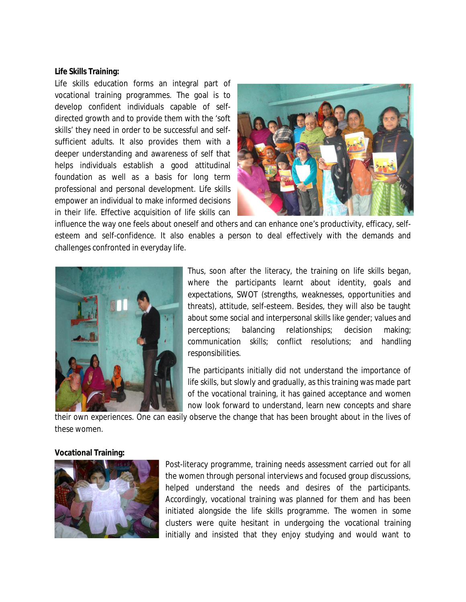## **Life Skills Training:**

Life skills education forms an integral part of vocational training programmes. The goal is to develop confident individuals capable of selfdirected growth and to provide them with the 'soft skills' they need in order to be successful and selfsufficient adults. It also provides them with a deeper understanding and awareness of self that helps individuals establish a good attitudinal foundation as well as a basis for long term professional and personal development. Life skills empower an individual to make informed decisions in their life. Effective acquisition of life skills can



influence the way one feels about oneself and others and can enhance one's productivity, efficacy, selfesteem and self-confidence. It also enables a person to deal effectively with the demands and challenges confronted in everyday life.



Thus, soon after the literacy, the training on life skills began, where the participants learnt about identity, goals and expectations, SWOT (strengths, weaknesses, opportunities and threats), attitude, self-esteem. Besides, they will also be taught about some social and interpersonal skills like gender; values and perceptions; balancing relationships; decision making; communication skills; conflict resolutions; and handling responsibilities.

The participants initially did not understand the importance of life skills, but slowly and gradually, as this training was made part of the vocational training, it has gained acceptance and women now look forward to understand, learn new concepts and share

their own experiences. One can easily observe the change that has been brought about in the lives of these women.

## **Vocational Training:**



Post-literacy programme, training needs assessment carried out for all the women through personal interviews and focused group discussions, helped understand the needs and desires of the participants. Accordingly, vocational training was planned for them and has been initiated alongside the life skills programme. The women in some clusters were quite hesitant in undergoing the vocational training initially and insisted that they enjoy studying and would want to